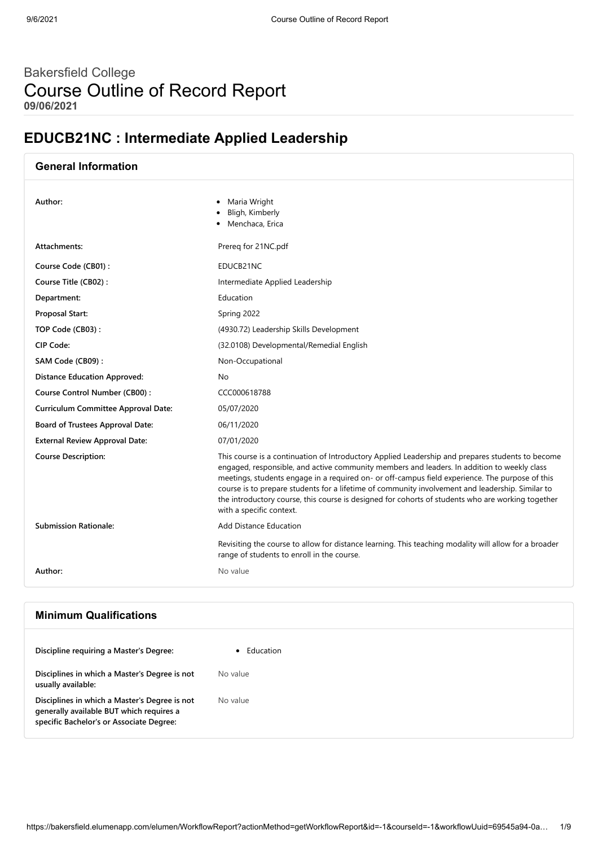# Bakersfield College Course Outline of Record Report **09/06/2021**

# **EDUCB21NC : Intermediate Applied Leadership**

| <b>General Information</b>            |                                                                                                                                                                                                                                                                                                                                                                                                                                                                                                                                         |
|---------------------------------------|-----------------------------------------------------------------------------------------------------------------------------------------------------------------------------------------------------------------------------------------------------------------------------------------------------------------------------------------------------------------------------------------------------------------------------------------------------------------------------------------------------------------------------------------|
| Author:                               | Maria Wright<br>٠<br>Bligh, Kimberly<br>Menchaca, Erica                                                                                                                                                                                                                                                                                                                                                                                                                                                                                 |
| Attachments:                          | Prereg for 21NC.pdf                                                                                                                                                                                                                                                                                                                                                                                                                                                                                                                     |
| Course Code (CB01):                   | EDUCB21NC                                                                                                                                                                                                                                                                                                                                                                                                                                                                                                                               |
| Course Title (CB02):                  | Intermediate Applied Leadership                                                                                                                                                                                                                                                                                                                                                                                                                                                                                                         |
| Department:                           | Education                                                                                                                                                                                                                                                                                                                                                                                                                                                                                                                               |
| Proposal Start:                       | Spring 2022                                                                                                                                                                                                                                                                                                                                                                                                                                                                                                                             |
| TOP Code (CB03):                      | (4930.72) Leadership Skills Development                                                                                                                                                                                                                                                                                                                                                                                                                                                                                                 |
| CIP Code:                             | (32.0108) Developmental/Remedial English                                                                                                                                                                                                                                                                                                                                                                                                                                                                                                |
| SAM Code (CB09):                      | Non-Occupational                                                                                                                                                                                                                                                                                                                                                                                                                                                                                                                        |
| <b>Distance Education Approved:</b>   | No                                                                                                                                                                                                                                                                                                                                                                                                                                                                                                                                      |
| Course Control Number (CB00):         | CCC000618788                                                                                                                                                                                                                                                                                                                                                                                                                                                                                                                            |
| Curriculum Committee Approval Date:   | 05/07/2020                                                                                                                                                                                                                                                                                                                                                                                                                                                                                                                              |
| Board of Trustees Approval Date:      | 06/11/2020                                                                                                                                                                                                                                                                                                                                                                                                                                                                                                                              |
| <b>External Review Approval Date:</b> | 07/01/2020                                                                                                                                                                                                                                                                                                                                                                                                                                                                                                                              |
| <b>Course Description:</b>            | This course is a continuation of Introductory Applied Leadership and prepares students to become<br>engaged, responsible, and active community members and leaders. In addition to weekly class<br>meetings, students engage in a required on- or off-campus field experience. The purpose of this<br>course is to prepare students for a lifetime of community involvement and leadership. Similar to<br>the introductory course, this course is designed for cohorts of students who are working together<br>with a specific context. |
| <b>Submission Rationale:</b>          | <b>Add Distance Education</b>                                                                                                                                                                                                                                                                                                                                                                                                                                                                                                           |
|                                       | Revisiting the course to allow for distance learning. This teaching modality will allow for a broader<br>range of students to enroll in the course.                                                                                                                                                                                                                                                                                                                                                                                     |
| Author:                               | No value                                                                                                                                                                                                                                                                                                                                                                                                                                                                                                                                |
|                                       |                                                                                                                                                                                                                                                                                                                                                                                                                                                                                                                                         |

## **Minimum Qualifications**

| Discipline requiring a Master's Degree:                                                                                               | Education |
|---------------------------------------------------------------------------------------------------------------------------------------|-----------|
| Disciplines in which a Master's Degree is not<br>usually available:                                                                   | No value  |
| Disciplines in which a Master's Degree is not<br>generally available BUT which requires a<br>specific Bachelor's or Associate Degree: | No value  |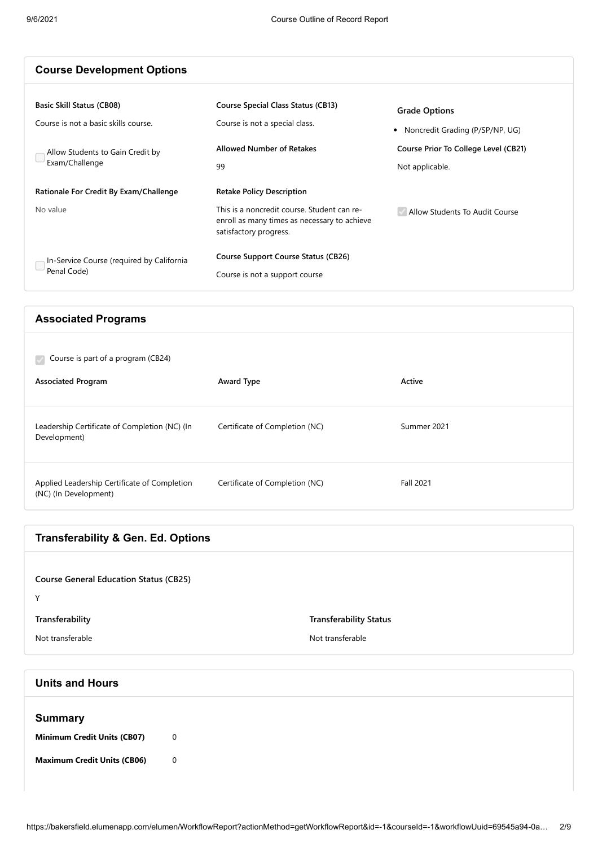| <b>Course Development Options</b>                                                                                              |                                                                                                                                                           |                                                                                                                      |
|--------------------------------------------------------------------------------------------------------------------------------|-----------------------------------------------------------------------------------------------------------------------------------------------------------|----------------------------------------------------------------------------------------------------------------------|
| <b>Basic Skill Status (CB08)</b><br>Course is not a basic skills course.<br>Allow Students to Gain Credit by<br>Exam/Challenge | <b>Course Special Class Status (CB13)</b><br>Course is not a special class.<br><b>Allowed Number of Retakes</b><br>99                                     | <b>Grade Options</b><br>• Noncredit Grading (P/SP/NP, UG)<br>Course Prior To College Level (CB21)<br>Not applicable. |
| Rationale For Credit By Exam/Challenge<br>No value                                                                             | <b>Retake Policy Description</b><br>This is a noncredit course. Student can re-<br>enroll as many times as necessary to achieve<br>satisfactory progress. | Allow Students To Audit Course                                                                                       |
| In-Service Course (required by California<br>Penal Code)                                                                       | <b>Course Support Course Status (CB26)</b><br>Course is not a support course                                                                              |                                                                                                                      |

#### **Associated Programs**

| Course is part of a program (CB24)                                    |                                |                  |
|-----------------------------------------------------------------------|--------------------------------|------------------|
| <b>Associated Program</b>                                             | Award Type                     | Active           |
| Leadership Certificate of Completion (NC) (In<br>Development)         | Certificate of Completion (NC) | Summer 2021      |
| Applied Leadership Certificate of Completion<br>(NC) (In Development) | Certificate of Completion (NC) | <b>Fall 2021</b> |

## **Transferability & Gen. Ed. Options**

| <b>Course General Education Status (CB25)</b> |                               |
|-----------------------------------------------|-------------------------------|
| v                                             |                               |
| Transferability                               | <b>Transferability Status</b> |
| Not transferable                              | Not transferable              |
|                                               |                               |

# **Units and Hours**

| <b>Summary</b>                     |                |
|------------------------------------|----------------|
| <b>Minimum Credit Units (CB07)</b> | $\overline{0}$ |
| <b>Maximum Credit Units (CB06)</b> | $\overline{0}$ |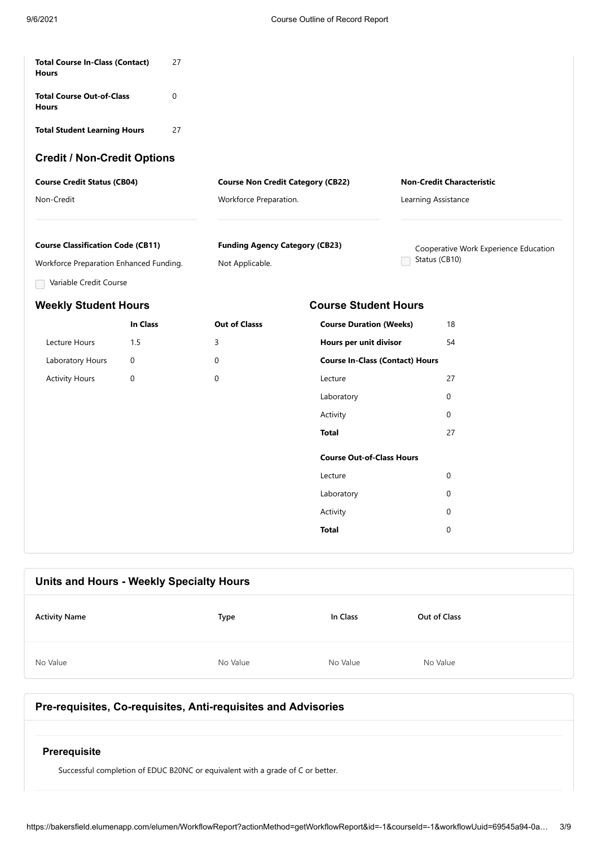| <b>Total Course In-Class (Contact)</b><br><b>Hours</b>                                                        | 27       |                                                          |                                        |                                                        |
|---------------------------------------------------------------------------------------------------------------|----------|----------------------------------------------------------|----------------------------------------|--------------------------------------------------------|
| <b>Total Course Out-of-Class</b><br><b>Hours</b>                                                              | 0        |                                                          |                                        |                                                        |
| <b>Total Student Learning Hours</b>                                                                           | 27       |                                                          |                                        |                                                        |
| <b>Credit / Non-Credit Options</b>                                                                            |          |                                                          |                                        |                                                        |
| <b>Course Credit Status (CB04)</b>                                                                            |          | <b>Course Non Credit Category (CB22)</b>                 |                                        | <b>Non-Credit Characteristic</b>                       |
| Non-Credit                                                                                                    |          | Workforce Preparation.                                   |                                        | Learning Assistance                                    |
| <b>Course Classification Code (CB11)</b><br>Workforce Preparation Enhanced Funding.<br>Variable Credit Course |          | <b>Funding Agency Category (CB23)</b><br>Not Applicable. |                                        | Cooperative Work Experience Education<br>Status (CB10) |
| <b>Weekly Student Hours</b>                                                                                   |          |                                                          | <b>Course Student Hours</b>            |                                                        |
|                                                                                                               | In Class | <b>Out of Classs</b>                                     | <b>Course Duration (Weeks)</b>         | 18                                                     |
| Lecture Hours                                                                                                 | 1.5      | 3                                                        | Hours per unit divisor                 | 54                                                     |
| Laboratory Hours                                                                                              | 0        | 0                                                        | <b>Course In-Class (Contact) Hours</b> |                                                        |
| <b>Activity Hours</b>                                                                                         | 0        | $\mathbf 0$                                              | Lecture                                | 27                                                     |
|                                                                                                               |          |                                                          | Laboratory                             | 0                                                      |
|                                                                                                               |          |                                                          | Activity                               | $\Omega$                                               |
|                                                                                                               |          |                                                          | <b>Total</b>                           | 27                                                     |
|                                                                                                               |          |                                                          | <b>Course Out-of-Class Hours</b>       |                                                        |
|                                                                                                               |          |                                                          | Lecture                                | $\mathbf 0$                                            |
|                                                                                                               |          |                                                          | Laboratory                             | $\Omega$                                               |
|                                                                                                               |          |                                                          | Activity                               | 0                                                      |
|                                                                                                               |          |                                                          |                                        |                                                        |

# **Units and Hours - Weekly Specialty Hours Activity Name Type In Class Out of Class** No Value No Value No Value No Value No Value No Value No Value No Value No Value

### **Pre-requisites, Co-requisites, Anti-requisites and Advisories**

#### **Prerequisite**

Successful completion of EDUC B20NC or equivalent with a grade of C or better.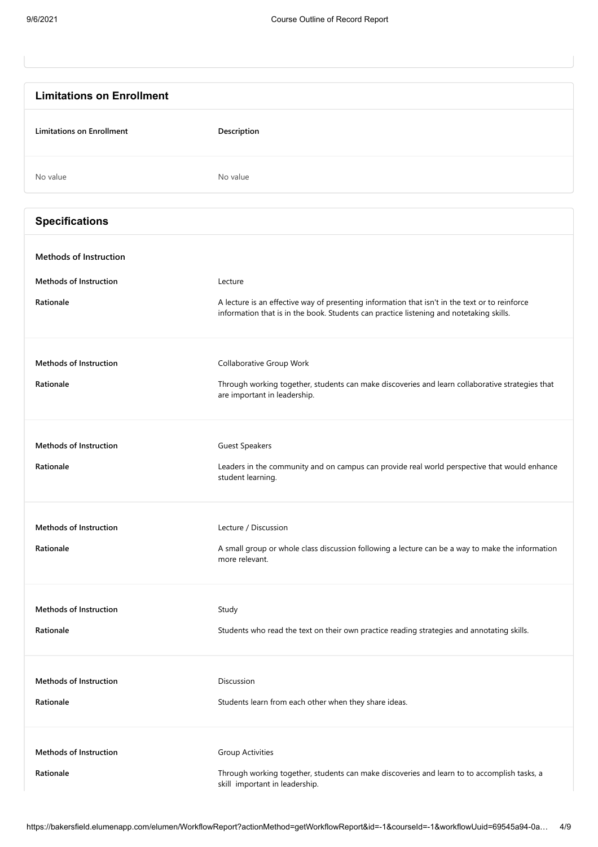| <b>Limitations on Enrollment</b> |                                                                                                                                                                                           |
|----------------------------------|-------------------------------------------------------------------------------------------------------------------------------------------------------------------------------------------|
| <b>Limitations on Enrollment</b> | Description                                                                                                                                                                               |
| No value                         | No value                                                                                                                                                                                  |
| <b>Specifications</b>            |                                                                                                                                                                                           |
| <b>Methods of Instruction</b>    |                                                                                                                                                                                           |
| <b>Methods of Instruction</b>    | Lecture                                                                                                                                                                                   |
| Rationale                        | A lecture is an effective way of presenting information that isn't in the text or to reinforce<br>information that is in the book. Students can practice listening and notetaking skills. |
| <b>Methods of Instruction</b>    | Collaborative Group Work                                                                                                                                                                  |
| Rationale                        | Through working together, students can make discoveries and learn collaborative strategies that<br>are important in leadership.                                                           |
| <b>Methods of Instruction</b>    | <b>Guest Speakers</b>                                                                                                                                                                     |
| Rationale                        | Leaders in the community and on campus can provide real world perspective that would enhance<br>student learning.                                                                         |
| <b>Methods of Instruction</b>    | Lecture / Discussion                                                                                                                                                                      |
| Rationale                        | A small group or whole class discussion following a lecture can be a way to make the information<br>more relevant.                                                                        |
| <b>Methods of Instruction</b>    | Study                                                                                                                                                                                     |
| Rationale                        | Students who read the text on their own practice reading strategies and annotating skills.                                                                                                |
| <b>Methods of Instruction</b>    | Discussion                                                                                                                                                                                |
| Rationale                        | Students learn from each other when they share ideas.                                                                                                                                     |
| Methods of Instruction           | <b>Group Activities</b>                                                                                                                                                                   |
| Rationale                        | Through working together, students can make discoveries and learn to to accomplish tasks, a<br>skill important in leadership.                                                             |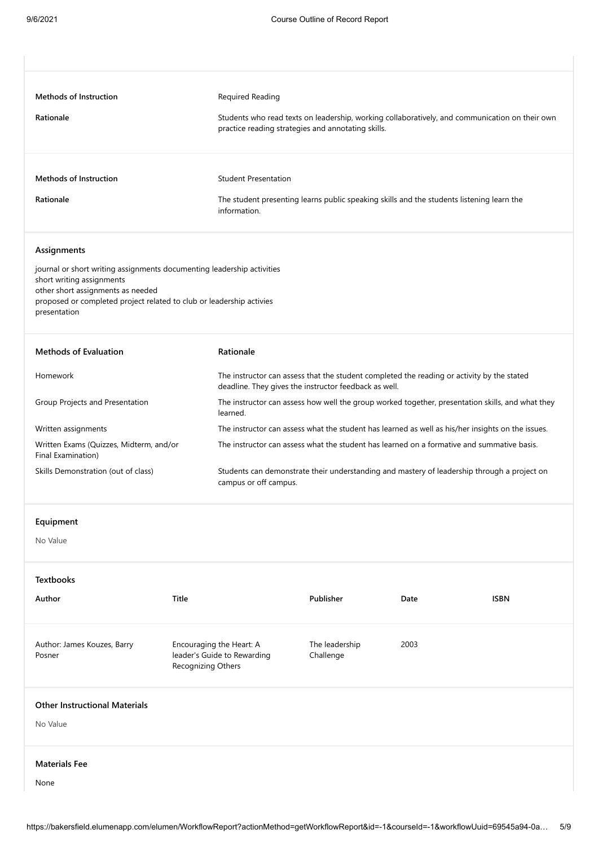| <b>Methods of Instruction</b>                                                                                                                                                                                                    |                    | Required Reading                                                                                                                                     |                             |      |                                                                                                   |
|----------------------------------------------------------------------------------------------------------------------------------------------------------------------------------------------------------------------------------|--------------------|------------------------------------------------------------------------------------------------------------------------------------------------------|-----------------------------|------|---------------------------------------------------------------------------------------------------|
| Rationale                                                                                                                                                                                                                        |                    | Students who read texts on leadership, working collaboratively, and communication on their own<br>practice reading strategies and annotating skills. |                             |      |                                                                                                   |
| <b>Methods of Instruction</b>                                                                                                                                                                                                    |                    | <b>Student Presentation</b>                                                                                                                          |                             |      |                                                                                                   |
| Rationale                                                                                                                                                                                                                        |                    | The student presenting learns public speaking skills and the students listening learn the<br>information.                                            |                             |      |                                                                                                   |
| Assignments                                                                                                                                                                                                                      |                    |                                                                                                                                                      |                             |      |                                                                                                   |
| journal or short writing assignments documenting leadership activities<br>short writing assignments<br>other short assignments as needed<br>proposed or completed project related to club or leadership activies<br>presentation |                    |                                                                                                                                                      |                             |      |                                                                                                   |
| <b>Methods of Evaluation</b>                                                                                                                                                                                                     |                    | Rationale                                                                                                                                            |                             |      |                                                                                                   |
| Homework                                                                                                                                                                                                                         |                    | The instructor can assess that the student completed the reading or activity by the stated<br>deadline. They gives the instructor feedback as well.  |                             |      |                                                                                                   |
| Group Projects and Presentation                                                                                                                                                                                                  |                    | The instructor can assess how well the group worked together, presentation skills, and what they<br>learned.                                         |                             |      |                                                                                                   |
| Written assignments                                                                                                                                                                                                              |                    |                                                                                                                                                      |                             |      | The instructor can assess what the student has learned as well as his/her insights on the issues. |
| Written Exams (Quizzes, Midterm, and/or<br>Final Examination)                                                                                                                                                                    |                    | The instructor can assess what the student has learned on a formative and summative basis.                                                           |                             |      |                                                                                                   |
| Skills Demonstration (out of class)                                                                                                                                                                                              |                    | Students can demonstrate their understanding and mastery of leadership through a project on<br>campus or off campus.                                 |                             |      |                                                                                                   |
| Equipment                                                                                                                                                                                                                        |                    |                                                                                                                                                      |                             |      |                                                                                                   |
| No Value                                                                                                                                                                                                                         |                    |                                                                                                                                                      |                             |      |                                                                                                   |
| <b>Textbooks</b>                                                                                                                                                                                                                 |                    |                                                                                                                                                      |                             |      |                                                                                                   |
| Author                                                                                                                                                                                                                           | Title              |                                                                                                                                                      | Publisher                   | Date | <b>ISBN</b>                                                                                       |
| Author: James Kouzes, Barry<br>Posner                                                                                                                                                                                            | Recognizing Others | Encouraging the Heart: A<br>leader's Guide to Rewarding                                                                                              | The leadership<br>Challenge | 2003 |                                                                                                   |
| <b>Other Instructional Materials</b><br>No Value                                                                                                                                                                                 |                    |                                                                                                                                                      |                             |      |                                                                                                   |

#### **Materials Fee**

None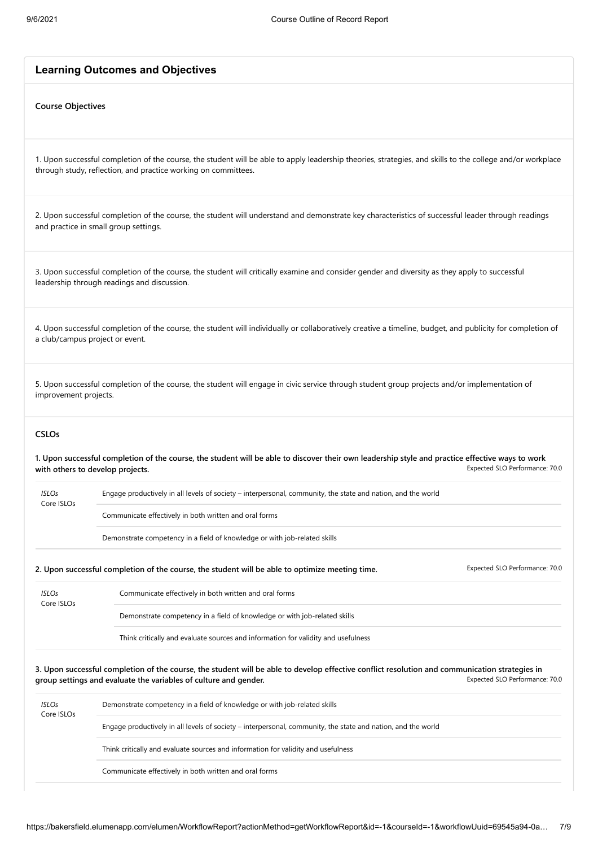#### **Learning Outcomes and Objectives**

#### **Course Objectives**

1. Upon successful completion of the course, the student will be able to apply leadership theories, strategies, and skills to the college and/or workplace through study, reflection, and practice working on committees.

2. Upon successful completion of the course, the student will understand and demonstrate key characteristics of successful leader through readings and practice in small group settings.

3. Upon successful completion of the course, the student will critically examine and consider gender and diversity as they apply to successful leadership through readings and discussion.

4. Upon successful completion of the course, the student will individually or collaboratively creative a timeline, budget, and publicity for completion of a club/campus project or event.

5. Upon successful completion of the course, the student will engage in civic service through student group projects and/or implementation of improvement projects.

#### **CSLOs**

Expected SLO Performance: 70.0 **1. Upon successful completion of the course, the student will be able to discover their own leadership style and practice effective ways to work with others to develop projects.**

| <b>ISLOs</b><br>Core ISLOs | Engage productively in all levels of society – interpersonal, community, the state and nation, and the world |
|----------------------------|--------------------------------------------------------------------------------------------------------------|
|                            | Communicate effectively in both written and oral forms                                                       |
|                            | Demonstrate competency in a field of knowledge or with job-related skills                                    |

**2. Upon successful completion of the course, the student will be able to optimize meeting time.** Expected SLO Performance: 70.0

Communicate effectively in both written and oral forms

*ISLOs* Core ISLOs

Demonstrate competency in a field of knowledge or with job-related skills

Think critically and evaluate sources and information for validity and usefulness

Expected SLO Performance: 70.0 **3. Upon successful completion of the course, the student will be able to develop effective conflict resolution and communication strategies in group settings and evaluate the variables of culture and gender.**

| <b>ISLOs</b><br>Core ISLOs | Demonstrate competency in a field of knowledge or with job-related skills                                    |
|----------------------------|--------------------------------------------------------------------------------------------------------------|
|                            | Engage productively in all levels of society – interpersonal, community, the state and nation, and the world |
|                            | Think critically and evaluate sources and information for validity and usefulness                            |
|                            | Communicate effectively in both written and oral forms                                                       |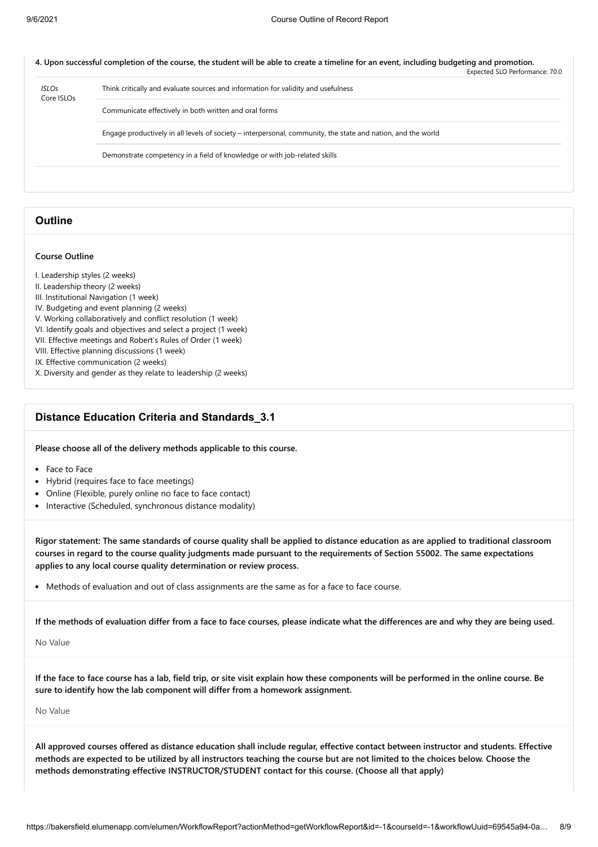#### **4. Upon successful completion of the course, the student will be able to create a timeline for an event, including budgeting and promotion.**

|                            |                                                                                                              | Expected SLO Performance: 70.0 |
|----------------------------|--------------------------------------------------------------------------------------------------------------|--------------------------------|
| <b>ISLOs</b><br>Core ISLOs | Think critically and evaluate sources and information for validity and usefulness                            |                                |
|                            | Communicate effectively in both written and oral forms                                                       |                                |
|                            | Engage productively in all levels of society – interpersonal, community, the state and nation, and the world |                                |
|                            | Demonstrate competency in a field of knowledge or with job-related skills                                    |                                |
|                            |                                                                                                              |                                |

#### **Outline**

#### **Course Outline**

- I. Leadership styles (2 weeks)
- II. Leadership theory (2 weeks)
- III. Institutional Navigation (1 week)
- IV. Budgeting and event planning (2 weeks)
- V. Working collaboratively and conflict resolution (1 week)
- VI. Identify goals and objectives and select a project (1 week)
- VII. Effective meetings and Robert's Rules of Order (1 week)
- VIII. Effective planning discussions (1 week)
- IX. Effective communication (2 weeks)
- X. Diversity and gender as they relate to leadership (2 weeks)

#### **Distance Education Criteria and Standards\_3.1**

**Please choose all of the delivery methods applicable to this course.**

- Face to Face
- Hybrid (requires face to face meetings)
- Online (Flexible, purely online no face to face contact)
- Interactive (Scheduled, synchronous distance modality)

**Rigor statement: The same standards of course quality shall be applied to distance education as are applied to traditional classroom courses in regard to the course quality judgments made pursuant to the requirements of Section 55002. The same expectations applies to any local course quality determination or review process.**

• Methods of evaluation and out of class assignments are the same as for a face to face course.

**If the methods of evaluation differ from a face to face courses, please indicate what the differences are and why they are being used.**

#### No Value

**If the face to face course has a lab, field trip, or site visit explain how these components will be performed in the online course. Be sure to identify how the lab component will differ from a homework assignment.**

No Value

**All approved courses offered as distance education shall include regular, effective contact between instructor and students. Effective methods are expected to be utilized by all instructors teaching the course but are not limited to the choices below. Choose the methods demonstrating effective INSTRUCTOR/STUDENT contact for this course. (Choose all that apply)**